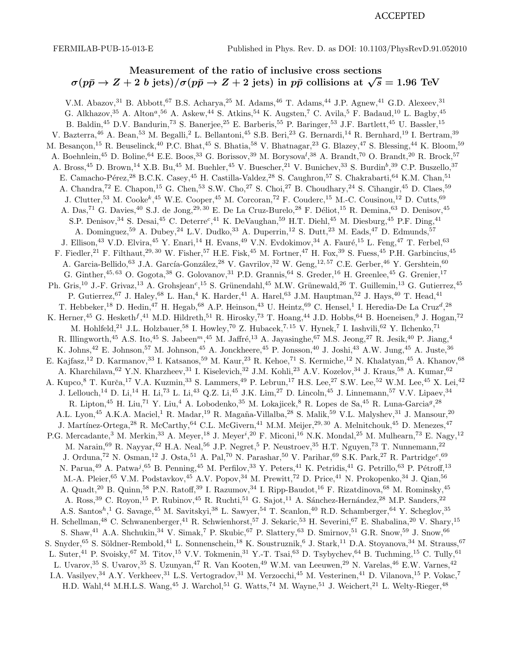## ACCEPTED

## Measurement of the ratio of inclusive cross sections  $\sigma(p\bar{p}\to Z+2\;b\;{\rm jets})/\sigma(p\bar{p}\to Z+2\;{\rm jets})$  in  $p\bar{p}$  collisions at  $\sqrt{s}=1.96\;{\rm TeV}$

V.M. Abazov,<sup>31</sup> B. Abbott,<sup>67</sup> B.S. Acharya,<sup>25</sup> M. Adams,<sup>46</sup> T. Adams,<sup>44</sup> J.P. Agnew,<sup>41</sup> G.D. Alexeev,<sup>31</sup> G. Alkhazov, <sup>35</sup> A. Alton<sup>a</sup>, <sup>56</sup> A. Askew, <sup>44</sup> S. Atkins, <sup>54</sup> K. Augsten, <sup>7</sup> C. Avila, <sup>5</sup> F. Badaud, <sup>10</sup> L. Bagby, <sup>45</sup> B. Baldin,<sup>45</sup> D.V. Bandurin,<sup>73</sup> S. Banerjee,<sup>25</sup> E. Barberis,<sup>55</sup> P. Baringer,<sup>53</sup> J.F. Bartlett,<sup>45</sup> U. Bassler,<sup>15</sup> V. Bazterra,<sup>46</sup> A. Bean,<sup>53</sup> M. Begalli,<sup>2</sup> L. Bellantoni,<sup>45</sup> S.B. Beri,<sup>23</sup> G. Bernardi,<sup>14</sup> R. Bernhard,<sup>19</sup> I. Bertram,<sup>39</sup> M. Besançon,<sup>15</sup> R. Beuselinck,<sup>40</sup> P.C. Bhat,<sup>45</sup> S. Bhatia,<sup>58</sup> V. Bhatnagar,<sup>23</sup> G. Blazey,<sup>47</sup> S. Blessing,<sup>44</sup> K. Bloom,<sup>59</sup> A. Boehnlein,<sup>45</sup> D. Boline,<sup>64</sup> E.E. Boos,<sup>33</sup> G. Borissov,<sup>39</sup> M. Borysova<sup>l</sup>,<sup>38</sup> A. Brandt,<sup>70</sup> O. Brandt,<sup>20</sup> R. Brock,<sup>57</sup> A. Bross,<sup>45</sup> D. Brown,<sup>14</sup> X.B. Bu,<sup>45</sup> M. Buehler,<sup>45</sup> V. Buescher,<sup>21</sup> V. Bunichev,<sup>33</sup> S. Burdin<sup>b</sup>,<sup>39</sup> C.P. Buszello,<sup>37</sup> E. Camacho-Pérez,<sup>28</sup> B.C.K. Casey,<sup>45</sup> H. Castilla-Valdez,<sup>28</sup> S. Caughron,<sup>57</sup> S. Chakrabarti,<sup>64</sup> K.M. Chan,<sup>51</sup> A. Chandra,<sup>72</sup> E. Chapon,<sup>15</sup> G. Chen,<sup>53</sup> S.W. Cho,<sup>27</sup> S. Choi,<sup>27</sup> B. Choudhary,<sup>24</sup> S. Cihangir,<sup>45</sup> D. Claes,<sup>59</sup> J. Clutter,<sup>53</sup> M. Cooke<sup>k</sup>,<sup>45</sup> W.E. Cooper,<sup>45</sup> M. Corcoran,<sup>72</sup> F. Couderc,<sup>15</sup> M.-C. Cousinou,<sup>12</sup> D. Cutts,<sup>69</sup> A. Das,<sup>71</sup> G. Davies,<sup>40</sup> S.J. de Jong,<sup>29, 30</sup> E. De La Cruz-Burelo,<sup>28</sup> F. Déliot,<sup>15</sup> R. Demina,<sup>63</sup> D. Denisov,<sup>45</sup> S.P. Denisov,<sup>34</sup> S. Desai,<sup>45</sup> C. Deterre<sup>c</sup>,<sup>41</sup> K. DeVaughan,<sup>59</sup> H.T. Diehl,<sup>45</sup> M. Diesburg,<sup>45</sup> P.F. Ding,<sup>41</sup> A. Dominguez,<sup>59</sup> A. Dubey,<sup>24</sup> L.V. Dudko,<sup>33</sup> A. Duperrin,<sup>12</sup> S. Dutt,<sup>23</sup> M. Eads,<sup>47</sup> D. Edmunds,<sup>57</sup> J. Ellison,<sup>43</sup> V.D. Elvira,<sup>45</sup> Y. Enari,<sup>14</sup> H. Evans,<sup>49</sup> V.N. Evdokimov,<sup>34</sup> A. Fauré,<sup>15</sup> L. Feng,<sup>47</sup> T. Ferbel,<sup>63</sup> F. Fiedler,<sup>21</sup> F. Filthaut,<sup>29, 30</sup> W. Fisher,<sup>57</sup> H.E. Fisk,<sup>45</sup> M. Fortner,<sup>47</sup> H. Fox,<sup>39</sup> S. Fuess,<sup>45</sup> P.H. Garbincius,<sup>45</sup> A. Garcia-Bellido,<sup>63</sup> J.A. García-González,<sup>28</sup> V. Gavrilov,<sup>32</sup> W. Geng,<sup>12,57</sup> C.E. Gerber,<sup>46</sup> Y. Gershtein,<sup>60</sup> G. Ginther,  $45,63$  O. Gogota,  $38$  G. Golovanov,  $31$  P.D. Grannis,  $64$  S. Greder,  $16$  H. Greenlee,  $45$  G. Grenier,  $17$ Ph. Gris,<sup>10</sup> J.-F. Grivaz,<sup>13</sup> A. Grohsjean<sup>c</sup>,<sup>15</sup> S. Grünendahl,<sup>45</sup> M.W. Grünewald,<sup>26</sup> T. Guillemin,<sup>13</sup> G. Gutierrez,<sup>45</sup> P. Gutierrez,<sup>67</sup> J. Haley,<sup>68</sup> L. Han,<sup>4</sup> K. Harder,<sup>41</sup> A. Harel,<sup>63</sup> J.M. Hauptman,<sup>52</sup> J. Hays,<sup>40</sup> T. Head,<sup>41</sup> T. Hebbeker,<sup>18</sup> D. Hedin,<sup>47</sup> H. Hegab,<sup>68</sup> A.P. Heinson,<sup>43</sup> U. Heintz,<sup>69</sup> C. Hensel,<sup>1</sup> I. Heredia-De La Cruz<sup>d</sup>,<sup>28</sup> K. Herner,<sup>45</sup> G. Hesketh $f$ ,<sup>41</sup> M.D. Hildreth,<sup>51</sup> R. Hirosky,<sup>73</sup> T. Hoang,<sup>44</sup> J.D. Hobbs,<sup>64</sup> B. Hoeneisen,<sup>9</sup> J. Hogan,<sup>72</sup> M. Hohlfeld,<sup>21</sup> J.L. Holzbauer,<sup>58</sup> I. Howley,<sup>70</sup> Z. Hubacek,<sup>7,15</sup> V. Hynek,<sup>7</sup> I. Iashvili,<sup>62</sup> Y. Ilchenko,<sup>71</sup> R. Illingworth,<sup>45</sup> A.S. Ito,<sup>45</sup> S. Jabeen<sup>m</sup>,<sup>45</sup> M. Jaffré,<sup>13</sup> A. Jayasinghe,<sup>67</sup> M.S. Jeong,<sup>27</sup> R. Jesik,<sup>40</sup> P. Jiang,<sup>4</sup> K. Johns,<sup>42</sup> E. Johnson,<sup>57</sup> M. Johnson,<sup>45</sup> A. Jonckheere,<sup>45</sup> P. Jonsson,<sup>40</sup> J. Joshi,<sup>43</sup> A.W. Jung,<sup>45</sup> A. Juste,<sup>36</sup> E. Kajfasz,<sup>12</sup> D. Karmanov,<sup>33</sup> I. Katsanos,<sup>59</sup> M. Kaur,<sup>23</sup> R. Kehoe,<sup>71</sup> S. Kermiche,<sup>12</sup> N. Khalatyan,<sup>45</sup> A. Khanov,<sup>68</sup> A. Kharchilava, <sup>62</sup> Y.N. Kharzheev, <sup>31</sup> I. Kiselevich, <sup>32</sup> J.M. Kohli, <sup>23</sup> A.V. Kozelov, <sup>34</sup> J. Kraus, <sup>58</sup> A. Kumar, <sup>62</sup> A. Kupco,<sup>8</sup> T. Kurča,<sup>17</sup> V.A. Kuzmin,<sup>33</sup> S. Lammers,<sup>49</sup> P. Lebrun,<sup>17</sup> H.S. Lee,<sup>27</sup> S.W. Lee,<sup>52</sup> W.M. Lee,<sup>45</sup> X. Lei,<sup>42</sup> J. Lellouch,<sup>14</sup> D. Li,<sup>14</sup> H. Li,<sup>73</sup> L. Li,<sup>43</sup> Q.Z. Li,<sup>45</sup> J.K. Lim,<sup>27</sup> D. Lincoln,<sup>45</sup> J. Linnemann,<sup>57</sup> V.V. Lipaev,<sup>34</sup> R. Lipton,<sup>45</sup> H. Liu,<sup>71</sup> Y. Liu,<sup>4</sup> A. Lobodenko,<sup>35</sup> M. Lokajicek,<sup>8</sup> R. Lopes de Sa,<sup>45</sup> R. Luna-Garcia<sup>g</sup>,<sup>28</sup> A.L. Lyon,<sup>45</sup> A.K.A. Maciel,<sup>1</sup> R. Madar,<sup>19</sup> R. Magaña-Villalba,<sup>28</sup> S. Malik,<sup>59</sup> V.L. Malyshev,<sup>31</sup> J. Mansour,<sup>20</sup> J. Martínez-Ortega,<sup>28</sup> R. McCarthy,<sup>64</sup> C.L. McGivern,<sup>41</sup> M.M. Meijer,<sup>29, 30</sup> A. Melnitchouk,<sup>45</sup> D. Menezes,<sup>47</sup> P.G. Mercadante,<sup>3</sup> M. Merkin,<sup>33</sup> A. Meyer,<sup>18</sup> J. Meyer<sup>i</sup>,<sup>20</sup> F. Miconi,<sup>16</sup> N.K. Mondal,<sup>25</sup> M. Mulhearn,<sup>73</sup> E. Nagy,<sup>12</sup> M. Narain,<sup>69</sup> R. Nayyar,<sup>42</sup> H.A. Neal,<sup>56</sup> J.P. Negret,<sup>5</sup> P. Neustroev,<sup>35</sup> H.T. Nguyen,<sup>73</sup> T. Nunnemann,<sup>22</sup> J. Orduna,<sup>72</sup> N. Osman,<sup>12</sup> J. Osta,<sup>51</sup> A. Pal,<sup>70</sup> N. Parashar,<sup>50</sup> V. Parihar,<sup>69</sup> S.K. Park,<sup>27</sup> R. Partridge<sup>e</sup>,<sup>69</sup> N. Parua,<sup>49</sup> A. Patwa<sup>j</sup>,<sup>65</sup> B. Penning,<sup>45</sup> M. Perfilov,<sup>33</sup> Y. Peters,<sup>41</sup> K. Petridis,<sup>41</sup> G. Petrillo,<sup>63</sup> P. Pétroff,<sup>13</sup> M.-A. Pleier, <sup>65</sup> V.M. Podstavkov, <sup>45</sup> A.V. Popov, <sup>34</sup> M. Prewitt,<sup>72</sup> D. Price, <sup>41</sup> N. Prokopenko, <sup>34</sup> J. Qian, <sup>56</sup> A. Quadt,<sup>20</sup> B. Quinn,<sup>58</sup> P.N. Ratoff,<sup>39</sup> I. Razumov,<sup>34</sup> I. Ripp-Baudot,<sup>16</sup> F. Rizatdinova,<sup>68</sup> M. Rominsky,<sup>45</sup> A. Ross,<sup>39</sup> C. Royon,<sup>15</sup> P. Rubinov,<sup>45</sup> R. Ruchti,<sup>51</sup> G. Sajot,<sup>11</sup> A. Sánchez-Hernández,<sup>28</sup> M.P. Sanders,<sup>22</sup> A.S. Santos<sup>h</sup>,<sup>1</sup> G. Savage,<sup>45</sup> M. Savitskyi,<sup>38</sup> L. Sawyer,<sup>54</sup> T. Scanlon,<sup>40</sup> R.D. Schamberger,<sup>64</sup> Y. Scheglov,<sup>35</sup> H. Schellman,<sup>48</sup> C. Schwanenberger,<sup>41</sup> R. Schwienhorst,<sup>57</sup> J. Sekaric,<sup>53</sup> H. Severini,<sup>67</sup> E. Shabalina,<sup>20</sup> V. Shary,<sup>15</sup> S. Shaw,<sup>41</sup> A.A. Shchukin,<sup>34</sup> V. Simak,<sup>7</sup> P. Skubic,<sup>67</sup> P. Slattery,<sup>63</sup> D. Smirnov,<sup>51</sup> G.R. Snow,<sup>59</sup> J. Snow,<sup>66</sup> S. Snyder,<sup>65</sup> S. Söldner-Rembold,<sup>41</sup> L. Sonnenschein,<sup>18</sup> K. Soustruznik,<sup>6</sup> J. Stark,<sup>11</sup> D.A. Stoyanova,<sup>34</sup> M. Strauss,<sup>67</sup> L. Suter,<sup>41</sup> P. Svoisky,<sup>67</sup> M. Titov,<sup>15</sup> V.V. Tokmenin,<sup>31</sup> Y.-T. Tsai,<sup>63</sup> D. Tsybychev,<sup>64</sup> B. Tuchming,<sup>15</sup> C. Tully,<sup>61</sup> L. Uvarov, <sup>35</sup> S. Uvarov, <sup>35</sup> S. Uzunyan, <sup>47</sup> R. Van Kooten, <sup>49</sup> W.M. van Leeuwen, <sup>29</sup> N. Varelas, <sup>46</sup> E.W. Varnes, <sup>42</sup> I.A. Vasilyev,<sup>34</sup> A.Y. Verkheev,<sup>31</sup> L.S. Vertogradov,<sup>31</sup> M. Verzocchi,<sup>45</sup> M. Vesterinen,<sup>41</sup> D. Vilanova,<sup>15</sup> P. Vokac,<sup>7</sup> H.D. Wahl,<sup>44</sup> M.H.L.S. Wang,<sup>45</sup> J. Warchol,<sup>51</sup> G. Watts,<sup>74</sup> M. Wayne,<sup>51</sup> J. Weichert,<sup>21</sup> L. Welty-Rieger,<sup>48</sup>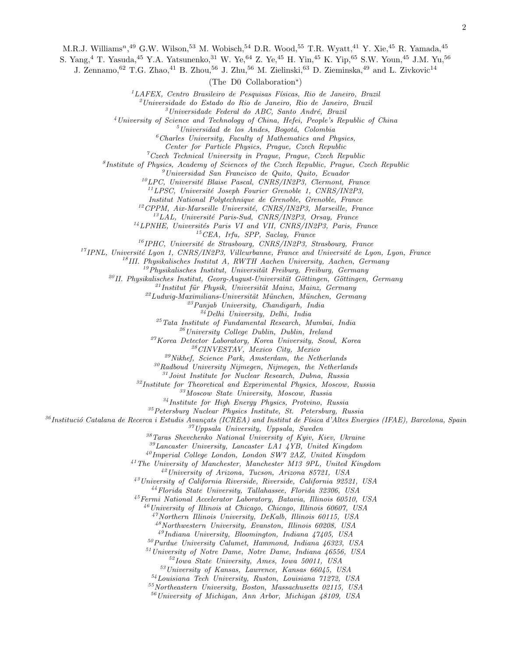M.R.J. Williams<sup>n</sup>,<sup>49</sup> G.W. Wilson,<sup>53</sup> M. Wobisch,<sup>54</sup> D.R. Wood,<sup>55</sup> T.R. Wyatt,<sup>41</sup> Y. Xie,<sup>45</sup> R. Yamada,<sup>45</sup>

S. Yang,<sup>4</sup> T. Yasuda,<sup>45</sup> Y.A. Yatsunenko,<sup>31</sup> W. Ye,<sup>64</sup> Z. Ye,<sup>45</sup> H. Yin,<sup>45</sup> K. Yip,<sup>65</sup> S.W. Youn,<sup>45</sup> J.M. Yu,<sup>56</sup>

J. Zennamo, <sup>62</sup> T.G. Zhao, <sup>41</sup> B. Zhou, <sup>56</sup> J. Zhu, <sup>56</sup> M. Zielinski, <sup>63</sup> D. Zieminska, <sup>49</sup> and L. Zivkovic<sup>14</sup>

(The D0 Collaboration<sup>∗</sup> )

 $1^1$ LAFEX, Centro Brasileiro de Pesquisas Físicas, Rio de Janeiro, Brazil

 $^{2}$ Universidade do Estado do Rio de Janeiro, Rio de Janeiro, Brazil

 $3$ Universidade Federal do ABC, Santo André, Brazil

<sup>4</sup>University of Science and Technology of China, Hefei, People's Republic of China

 $<sup>5</sup> Universidad de los Andes, Bogotá, Colombia$ </sup>

 ${}^6$ Charles University, Faculty of Mathematics and Physics,

Center for Particle Physics, Prague, Czech Republic

 ${}^7C$ zech Technical University in Prague, Prague, Czech Republic

8 Institute of Physics, Academy of Sciences of the Czech Republic, Prague, Czech Republic

 $<sup>9</sup> Universidad San Francisco de Quito, Quito, Ecuador$ </sup>

 $10^{10}$ LPC, Université Blaise Pascal, CNRS/IN2P3, Clermont, France

 $11$ LPSC, Université Joseph Fourier Grenoble 1, CNRS/IN2P3,

Institut National Polytechnique de Grenoble, Grenoble, France

 $^{12}CPPM, \textit{ Aix-Marseille}$ Université, CNRS/IN2P3, Marseille, France

 $^{13}LAL$ , Université Paris-Sud, CNRS/IN2P3, Orsay, France

 $^{14}$ LPNHE, Universités Paris VI and VII, CNRS/IN2P3, Paris, France

 $15$ CEA, Irfu, SPP, Saclay, France

 $^{16}$ IPHC, Université de Strasbourg, CNRS/IN2P3, Strasbourg, France

 $17$ IPNL, Université Lyon 1, CNRS/IN2P3, Villeurbanne, France and Université de Lyon, Lyon, France

 $18$ III. Physikalisches Institut A, RWTH Aachen University, Aachen, Germany

 $19$ Physikalisches Institut, Universität Freiburg, Freiburg, Germany

 $^{20}$ II. Physikalisches Institut, Georg-August-Universität Göttingen, Göttingen, Germany

 $^{21}$ Institut für Physik, Universität Mainz, Mainz, Germany

 $^{22}$ Ludwig-Maximilians-Universität München, München, Germany

 $23$ Panjab University, Chandigarh, India

 $^{24}$ Delhi University, Delhi, India

 $25$ Tata Institute of Fundamental Research, Mumbai, India

 $^{26}$ University College Dublin, Dublin, Ireland

<sup>27</sup>Korea Detector Laboratory, Korea University, Seoul, Korea

<sup>28</sup>CINVESTAV, Mexico City, Mexico

 $29$ Nikhef, Science Park, Amsterdam, the Netherlands

 $30R$ adboud University Nijmegen, Nijmegen, the Netherlands

 $31$  Joint Institute for Nuclear Research, Dubna, Russia

 $32$ Institute for Theoretical and Experimental Physics, Moscow, Russia

<sup>33</sup>Moscow State University, Moscow, Russia

<sup>34</sup>Institute for High Energy Physics, Protvino, Russia

<sup>35</sup>Petersburg Nuclear Physics Institute, St. Petersburg, Russia

 $36$ Institució Catalana de Recerca i Estudis Avançats (ICREA) and Institut de Física d'Altes Energies (IFAE), Barcelona, Spain  $37$ Uppsala University, Uppsala, Sweden

 $38$ Taras Shevchenko National University of Kyiv, Kiev, Ukraine

<sup>39</sup>Lancaster University, Lancaster LA1 4YB, United Kingdom

<sup>40</sup>Imperial College London, London SW7 2AZ, United Kingdom

<sup>41</sup>The University of Manchester, Manchester M13 9PL, United Kingdom

<sup>42</sup>University of Arizona, Tucson, Arizona 85721, USA

<sup>43</sup>University of California Riverside, Riverside, California 92521, USA

<sup>44</sup>Florida State University, Tallahassee, Florida 32306, USA

<sup>45</sup>Fermi National Accelerator Laboratory, Batavia, Illinois 60510, USA

 $^{46}$ University of Illinois at Chicago, Chicago, Illinois 60607, USA

 $^{47}$ Northern Illinois University, DeKalb, Illinois 60115, USA

 $^{48}$ Northwestern University, Evanston, Illinois 60208, USA

 $^{49}$ Indiana University, Bloomington, Indiana  $47405$ , USA

 $^{50}P$ urdue University Calumet, Hammond, Indiana 46323, USA

<sup>51</sup>University of Notre Dame, Notre Dame, Indiana 46556, USA

<sup>52</sup>Iowa State University, Ames, Iowa 50011, USA

 $53$ University of Kansas, Lawrence, Kansas 66045, USA

<sup>54</sup>Louisiana Tech University, Ruston, Louisiana 71272, USA

<sup>55</sup>Northeastern University, Boston, Massachusetts 02115, USA

<sup>56</sup>University of Michigan, Ann Arbor, Michigan 48109, USA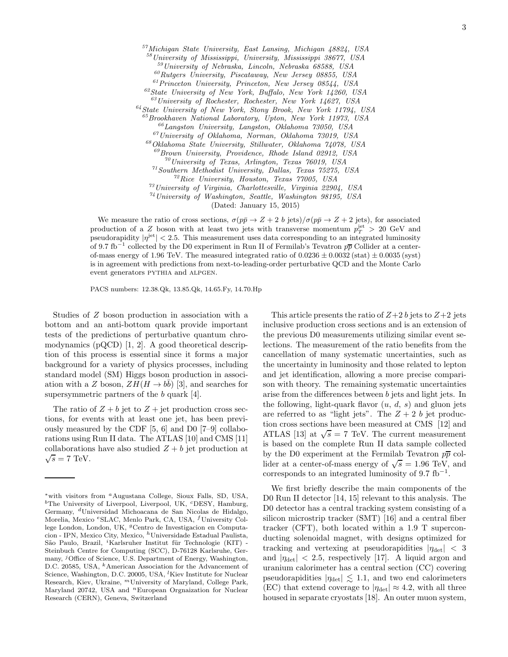Michigan State University, East Lansing, Michigan 48824, USA University of Mississippi, University, Mississippi 38677, USA University of Nebraska, Lincoln, Nebraska 68588, USA  $^{60}Rutgers$  University, Piscataway, New Jersey 08855, USA Princeton University, Princeton, New Jersey 08544, USA State University of New York, Buffalo, New York 14260, USA University of Rochester, Rochester, New York 14627, USA  $^{64}$ State University of New York, Stony Brook, New York 11794, USA Brookhaven National Laboratory, Upton, New York 11973, USA  $^{66}$ Langston University, Langston, Oklahoma 73050, USA University of Oklahoma, Norman, Oklahoma 73019, USA Oklahoma State University, Stillwater, Oklahoma 74078, USA  $^{69}$ Brown University, Providence, Rhode Island 02912, USA University of Texas, Arlington, Texas  $76019$ , USA Southern Methodist University, Dallas, Texas  $75275$ , USA Rice University, Houston, Texas 77005, USA  $^{73}$ University of Virginia, Charlottesville, Virginia 22904, USA  $^{74}$ University of Washington, Seattle, Washington 98195, USA

(Dated: January 15, 2015)

We measure the ratio of cross sections,  $\sigma(p\bar{p}\to Z+2\bar{b})$  jets)/ $\sigma(p\bar{p}\to Z+2\bar{b})$ , for associated production of a Z boson with at least two jets with transverse momentum  $p_T^{\text{jet}} > 20 \text{ GeV}$  and pseudorapidity  $|\eta^{jet}| < 2.5$ . This measurement uses data corresponding to an integrated luminosity of 9.7 fb<sup>-1</sup> collected by the D0 experiment in Run II of Fermilab's Tevatron  $p\overline{p}$  Collider at a centerof-mass energy of 1.96 TeV. The measured integrated ratio of  $0.0236 \pm 0.0032$  (stat)  $\pm 0.0035$  (syst) is in agreement with predictions from next-to-leading-order perturbative QCD and the Monte Carlo event generators pythia and alpgen.

PACS numbers: 12.38.Qk, 13.85.Qk, 14.65.Fy, 14.70.Hp

Studies of Z boson production in association with a bottom and an anti-bottom quark provide important tests of the predictions of perturbative quantum chromodynamics (pQCD) [1, 2]. A good theoretical description of this process is essential since it forms a major background for a variety of physics processes, including standard model (SM) Higgs boson production in association with a Z boson,  $ZH(H \rightarrow b\bar{b})$  [3], and searches for supersymmetric partners of the b quark [4].

The ratio of  $Z + b$  jet to  $Z +$  jet production cross sections, for events with at least one jet, has been previously measured by the CDF [5, 6] and D0 [7–9] collaborations using Run II data. The ATLAS [10] and CMS [11] collaborations have also studied  $Z + b$  jet production at  $\sqrt{s} = 7$  TeV.

This article presents the ratio of  $Z+2 b$  jets to  $Z+2$  jets inclusive production cross sections and is an extension of the previous D0 measurements utilizing similar event selections. The measurement of the ratio benefits from the cancellation of many systematic uncertainties, such as the uncertainty in luminosity and those related to lepton and jet identification, allowing a more precise comparison with theory. The remaining systematic uncertainties arise from the differences between b jets and light jets. In the following, light-quark flavor  $(u, d, s)$  and gluon jets are referred to as "light jets". The  $Z + 2 b$  jet production cross sections have been measured at CMS [12] and ATLAS [13] at  $\sqrt{s} = 7$  TeV. The current measurement is based on the complete Run II data sample collected by the D0 experiment at the Fermilab Tevatron  $p\bar{p}$  collider at a center-of-mass energy of  $\sqrt{s} = 1.96$  TeV, and corresponds to an integrated luminosity of  $9.7 \text{ fb}^{-1}$ .

We first briefly describe the main components of the D0 Run II detector [14, 15] relevant to this analysis. The D0 detector has a central tracking system consisting of a silicon microstrip tracker (SMT) [16] and a central fiber tracker (CFT), both located within a 1.9 T superconducting solenoidal magnet, with designs optimized for tracking and vertexing at pseudorapidities  $|\eta_{\text{det}}| < 3$ and  $|\eta_{\text{det}}| < 2.5$ , respectively [17]. A liquid argon and uranium calorimeter has a central section (CC) covering pseudorapidities  $|\eta_{\text{det}}| \lesssim 1.1$ , and two end calorimeters (EC) that extend coverage to  $|\eta_{\text{det}}| \approx 4.2$ , with all three housed in separate cryostats [18]. An outer muon system,

<sup>∗</sup>with visitors from <sup>a</sup>Augustana College, Sioux Falls, SD, USA, <sup>b</sup>The University of Liverpool, Liverpool, UK, <sup>c</sup>DESY, Hamburg, Germany, <sup>d</sup>Universidad Michoacana de San Nicolas de Hidalgo, Morelia, Mexico <sup>e</sup>SLAC, Menlo Park, CA, USA, <sup>f</sup>University College London, London, UK, <sup>g</sup>Centro de Investigacion en Computacion - IPN, Mexico City, Mexico, <sup>h</sup>Universidade Estadual Paulista, São Paulo, Brazil, <sup>*i*</sup>Karlsruher Institut für Technologie (KIT) -Steinbuch Centre for Computing (SCC), D-76128 Karlsruhe, Germany, <sup>j</sup>Office of Science, U.S. Department of Energy, Washington, D.C. 20585, USA, <sup>k</sup>American Association for the Advancement of Science, Washington, D.C. 20005, USA, <sup>l</sup>Kiev Institute for Nuclear Research, Kiev, Ukraine, <sup>m</sup>University of Maryland, College Park, Maryland 20742, USA and <sup>n</sup>European Orgnaization for Nuclear Research (CERN), Geneva, Switzerland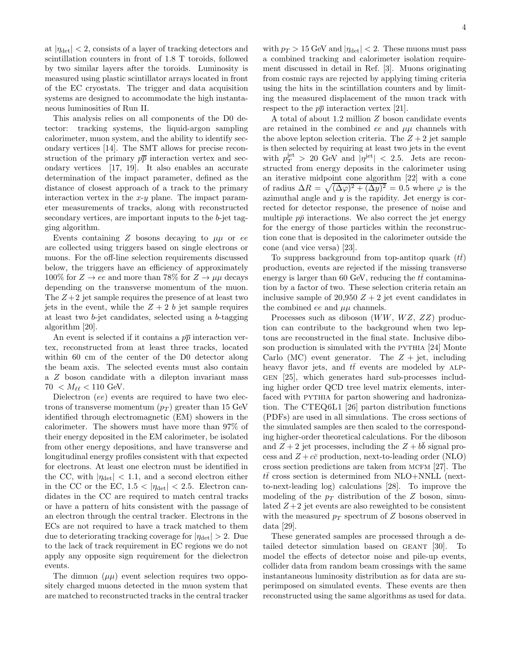at  $|\eta_{\text{det}}| < 2$ , consists of a layer of tracking detectors and scintillation counters in front of 1.8 T toroids, followed by two similar layers after the toroids. Luminosity is measured using plastic scintillator arrays located in front of the EC cryostats. The trigger and data acquisition systems are designed to accommodate the high instantaneous luminosities of Run II.

This analysis relies on all components of the D0 detector: tracking systems, the liquid-argon sampling calorimeter, muon system, and the ability to identify secondary vertices [14]. The SMT allows for precise reconstruction of the primary  $p\bar{p}$  interaction vertex and secondary vertices [17, 19]. It also enables an accurate determination of the impact parameter, defined as the distance of closest approach of a track to the primary interaction vertex in the  $x-y$  plane. The impact parameter measurements of tracks, along with reconstructed secondary vertices, are important inputs to the b-jet tagging algorithm.

Events containing Z bosons decaying to  $\mu\mu$  or ee are collected using triggers based on single electrons or muons. For the off-line selection requirements discussed below, the triggers have an efficiency of approximately 100% for  $Z \to ee$  and more than 78% for  $Z \to \mu\mu$  decays depending on the transverse momentum of the muon. The  $Z+2$  jet sample requires the presence of at least two jets in the event, while the  $Z + 2 b$  jet sample requires at least two b-jet candidates, selected using a b-tagging algorithm [20].

An event is selected if it contains a  $p\overline{p}$  interaction vertex, reconstructed from at least three tracks, located within 60 cm of the center of the D0 detector along the beam axis. The selected events must also contain a Z boson candidate with a dilepton invariant mass  $70 < M_{\ell\ell} < 110 \text{ GeV}.$ 

Dielectron *(ee)* events are required to have two electrons of transverse momentum  $(p_T)$  greater than 15 GeV identified through electromagnetic (EM) showers in the calorimeter. The showers must have more than 97% of their energy deposited in the EM calorimeter, be isolated from other energy depositions, and have transverse and longitudinal energy profiles consistent with that expected for electrons. At least one electron must be identified in the CC, with  $|\eta_{\text{det}}| < 1.1$ , and a second electron either in the CC or the EC,  $1.5 < |\eta_{\text{det}}| < 2.5$ . Electron candidates in the CC are required to match central tracks or have a pattern of hits consistent with the passage of an electron through the central tracker. Electrons in the ECs are not required to have a track matched to them due to deteriorating tracking coverage for  $|\eta_{\text{det}}| > 2$ . Due to the lack of track requirement in EC regions we do not apply any opposite sign requirement for the dielectron events.

The dimuon  $(\mu\mu)$  event selection requires two oppositely charged muons detected in the muon system that are matched to reconstructed tracks in the central tracker

with  $p_T > 15$  GeV and  $|\eta_{\text{det}}| < 2$ . These muons must pass a combined tracking and calorimeter isolation requirement discussed in detail in Ref. [3]. Muons originating from cosmic rays are rejected by applying timing criteria using the hits in the scintillation counters and by limiting the measured displacement of the muon track with respect to the  $p\bar{p}$  interaction vertex [21].

A total of about 1.2 million Z boson candidate events are retained in the combined ee and  $\mu\mu$  channels with the above lepton selection criteria. The  $Z + 2$  jet sample is then selected by requiring at least two jets in the event with  $p_T^{\text{jet}} > 20$  GeV and  $|\eta^{\text{jet}}| < 2.5$ . Jets are reconstructed from energy deposits in the calorimeter using an iterative midpoint cone algorithm [22] with a cone of radius  $\Delta R = \sqrt{(\Delta \varphi)^2 + (\Delta y)^2} = 0.5$  where  $\varphi$  is the azimuthal angle and  $y$  is the rapidity. Jet energy is corrected for detector response, the presence of noise and multiple  $p\bar{p}$  interactions. We also correct the jet energy for the energy of those particles within the reconstruction cone that is deposited in the calorimeter outside the cone (and vice versa) [23].

To suppress background from top-antitop quark  $(tt)$ production, events are rejected if the missing transverse energy is larger than 60 GeV, reducing the  $t\bar{t}$  contamination by a factor of two. These selection criteria retain an inclusive sample of 20,950  $Z + 2$  jet event candidates in the combined ee and  $\mu\mu$  channels.

Processes such as diboson  $(WW, WZ, ZZ)$  production can contribute to the background when two leptons are reconstructed in the final state. Inclusive diboson production is simulated with the PYTHIA [24] Monte Carlo (MC) event generator. The  $Z + jet$ , including heavy flavor jets, and  $t\bar{t}$  events are modeled by ALPgen [25], which generates hard sub-processes including higher order QCD tree level matrix elements, interfaced with PYTHIA for parton showering and hadronization. The CTEQ6L1 [26] parton distribution functions (PDFs) are used in all simulations. The cross sections of the simulated samples are then scaled to the corresponding higher-order theoretical calculations. For the diboson and  $Z + 2$  jet processes, including the  $Z + b\bar{b}$  signal process and  $Z + c\bar{c}$  production, next-to-leading order (NLO) cross section predictions are taken from MCFM  $[27]$ . The  $t\bar{t}$  cross section is determined from NLO+NNLL (nextto-next-leading log) calculations [28]. To improve the modeling of the  $p_T$  distribution of the Z boson, simulated  $Z + 2$  jet events are also reweighted to be consistent with the measured  $p_T$  spectrum of Z bosons observed in data [29].

These generated samples are processed through a detailed detector simulation based on geant [30]. To model the effects of detector noise and pile-up events, collider data from random beam crossings with the same instantaneous luminosity distribution as for data are superimposed on simulated events. These events are then reconstructed using the same algorithms as used for data.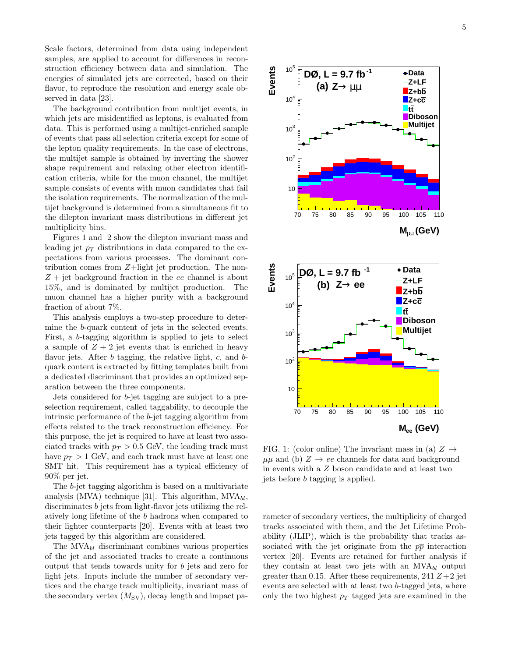Scale factors, determined from data using independent samples, are applied to account for differences in reconstruction efficiency between data and simulation. The energies of simulated jets are corrected, based on their flavor, to reproduce the resolution and energy scale observed in data [23].

The background contribution from multijet events, in which jets are misidentified as leptons, is evaluated from data. This is performed using a multijet-enriched sample of events that pass all selection criteria except for some of the lepton quality requirements. In the case of electrons, the multijet sample is obtained by inverting the shower shape requirement and relaxing other electron identification criteria, while for the muon channel, the multijet sample consists of events with muon candidates that fail the isolation requirements. The normalization of the multijet background is determined from a simultaneous fit to the dilepton invariant mass distributions in different jet multiplicity bins.

Figures 1 and 2 show the dilepton invariant mass and leading jet  $p_T$  distributions in data compared to the expectations from various processes. The dominant contribution comes from Z+light jet production. The non- $Z + jet$  background fraction in the ee channel is about 15%, and is dominated by multijet production. The muon channel has a higher purity with a background fraction of about 7%.

This analysis employs a two-step procedure to determine the b-quark content of jets in the selected events. First, a b-tagging algorithm is applied to jets to select a sample of  $Z + 2$  jet events that is enriched in heavy flavor jets. After  $b$  tagging, the relative light,  $c$ , and  $b$ quark content is extracted by fitting templates built from a dedicated discriminant that provides an optimized separation between the three components.

Jets considered for b-jet tagging are subject to a preselection requirement, called taggability, to decouple the intrinsic performance of the b-jet tagging algorithm from effects related to the track reconstruction efficiency. For this purpose, the jet is required to have at least two associated tracks with  $p_T > 0.5$  GeV, the leading track must have  $p_T > 1$  GeV, and each track must have at least one SMT hit. This requirement has a typical efficiency of 90% per jet.

The b-jet tagging algorithm is based on a multivariate analysis (MVA) technique [31]. This algorithm,  $MVA_{bl}$ , discriminates b jets from light-flavor jets utilizing the relatively long lifetime of the b hadrons when compared to their lighter counterparts [20]. Events with at least two jets tagged by this algorithm are considered.

The  $MVA_{bl}$  discriminant combines various properties of the jet and associated tracks to create a continuous output that tends towards unity for b jets and zero for light jets. Inputs include the number of secondary vertices and the charge track multiplicity, invariant mass of the secondary vertex  $(M_{SV})$ , decay length and impact pa-



FIG. 1: (color online) The invariant mass in (a)  $Z \rightarrow$  $\mu\mu$  and (b)  $Z \rightarrow ee$  channels for data and background in events with a Z boson candidate and at least two jets before b tagging is applied.

rameter of secondary vertices, the multiplicity of charged tracks associated with them, and the Jet Lifetime Probability (JLIP), which is the probability that tracks associated with the jet originate from the  $p\bar{p}$  interaction vertex [20]. Events are retained for further analysis if they contain at least two jets with an  $MVA_{bl}$  output greater than 0.15. After these requirements, 241  $Z+2$  jet events are selected with at least two b-tagged jets, where only the two highest  $p_T$  tagged jets are examined in the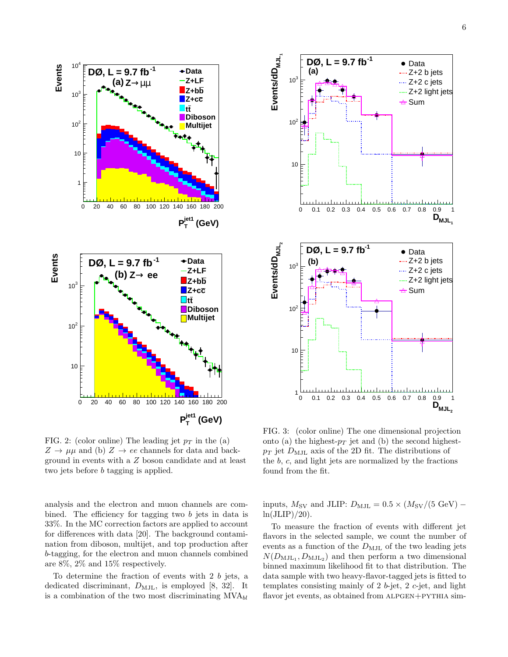

FIG. 2: (color online) The leading jet  $p_T$  in the (a)  $Z \rightarrow \mu\mu$  and (b)  $Z \rightarrow ee$  channels for data and background in events with a Z boson candidate and at least two jets before b tagging is applied.

analysis and the electron and muon channels are combined. The efficiency for tagging two b jets in data is 33%. In the MC correction factors are applied to account for differences with data [20]. The background contamination from diboson, multijet, and top production after b-tagging, for the electron and muon channels combined are 8%, 2% and 15% respectively.

To determine the fraction of events with 2 b jets, a dedicated discriminant,  $D_{\text{MJL}}$ , is employed [8, 32]. It is a combination of the two most discriminating  $MVA_{bl}$ 



FIG. 3: (color online) The one dimensional projection onto (a) the highest- $p_T$  jet and (b) the second highest $p_T$  jet  $D_{\text{MJL}}$  axis of the 2D fit. The distributions of the  $b, c$ , and light jets are normalized by the fractions found from the fit.

inputs,  $M_{\rm SV}$  and JLIP:  $D_{\rm MJL} = 0.5 \times (M_{\rm SV}/(5 \text{ GeV})$  $ln(JLIP)/20$ ).

To measure the fraction of events with different jet flavors in the selected sample, we count the number of events as a function of the  $D_{\text{MJL}}$  of the two leading jets  $N(D_{\text{MJL}_1}, D_{\text{MJL}_2})$  and then perform a two dimensional binned maximum likelihood fit to that distribution. The data sample with two heavy-flavor-tagged jets is fitted to templates consisting mainly of 2 b-jet,  $2 c$ -jet, and light flavor jet events, as obtained from ALPGEN+PYTHIA sim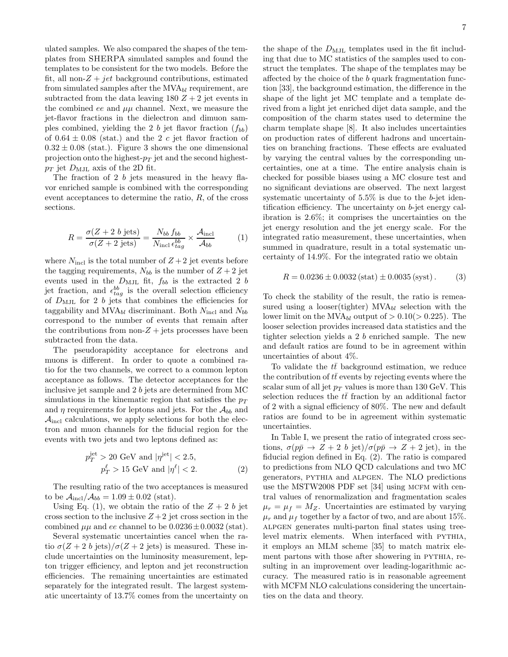ulated samples. We also compared the shapes of the templates from SHERPA simulated samples and found the templates to be consistent for the two models. Before the fit, all non- $Z + jet$  background contributions, estimated from simulated samples after the  $MVA_{bl}$  requirement, are subtracted from the data leaving  $180 Z + 2$  jet events in the combined ee and  $\mu\mu$  channel. Next, we measure the jet-flavor fractions in the dielectron and dimuon samples combined, yielding the 2 b jet flavor fraction  $(f_{bb})$ of  $0.64 \pm 0.08$  (stat.) and the 2 c jet flavor fraction of  $0.32 \pm 0.08$  (stat.). Figure 3 shows the one dimensional projection onto the highest- $p_T$  jet and the second highest $p_T$  jet  $D_{\text{MJL}}$  axis of the 2D fit.

The fraction of 2 b jets measured in the heavy flavor enriched sample is combined with the corresponding event acceptances to determine the ratio, R, of the cross sections.

$$
R = \frac{\sigma(Z + 2 \ b \ \text{jets})}{\sigma(Z + 2 \ \text{jets})} = \frac{N_{bb} f_{bb}}{N_{\text{incl}} \epsilon_{tag}^{bb}} \times \frac{\mathcal{A}_{\text{incl}}}{\mathcal{A}_{bb}} \tag{1}
$$

where  $N_{\text{incl}}$  is the total number of  $Z + 2$  jet events before the tagging requirements,  $N_{bb}$  is the number of  $Z + 2$  jet events used in the  $D_{\text{MJL}}$  fit,  $f_{bb}$  is the extracted 2 b jet fraction, and  $\epsilon_{tag}^{bb}$  is the overall selection efficiency of  $D_{\text{MJL}}$  for 2 b jets that combines the efficiencies for taggability and  $MVA_{bl}$  discriminant. Both  $N_{\text{incl}}$  and  $N_{bb}$ correspond to the number of events that remain after the contributions from non- $Z +$  jets processes have been subtracted from the data.

The pseudorapidity acceptance for electrons and muons is different. In order to quote a combined ratio for the two channels, we correct to a common lepton acceptance as follows. The detector acceptances for the inclusive jet sample and 2 b jets are determined from MC simulations in the kinematic region that satisfies the  $p_T$ and  $\eta$  requirements for leptons and jets. For the  $\mathcal{A}_{bb}$  and  $\mathcal{A}_{\text{incl}}$  calculations, we apply selections for both the electron and muon channels for the fiducial region for the events with two jets and two leptons defined as:

$$
p_T^{\text{jet}} > 20 \text{ GeV} \text{ and } |\eta^{\text{jet}}| < 2.5,
$$
  

$$
p_T^{\ell} > 15 \text{ GeV} \text{ and } |\eta^{\ell}| < 2.
$$
 (2)

The resulting ratio of the two acceptances is measured to be  $\mathcal{A}_{\text{incl}}/\mathcal{A}_{bb} = 1.09 \pm 0.02$  (stat).

Using Eq. (1), we obtain the ratio of the  $Z + 2 b$  jet cross section to the inclusive  $Z+2$  jet cross section in the combined  $\mu\mu$  and ee channel to be  $0.0236 \pm 0.0032$  (stat).

Several systematic uncertainties cancel when the ratio  $\sigma(Z + 2 b \text{ jets})/\sigma(Z + 2 \text{ jets})$  is measured. These include uncertainties on the luminosity measurement, lepton trigger efficiency, and lepton and jet reconstruction efficiencies. The remaining uncertainties are estimated separately for the integrated result. The largest systematic uncertainty of 13.7% comes from the uncertainty on

the shape of the  $D_{\text{MJL}}$  templates used in the fit including that due to MC statistics of the samples used to construct the templates. The shape of the templates may be affected by the choice of the b quark fragmentation function [33], the background estimation, the difference in the shape of the light jet MC template and a template derived from a light jet enriched dijet data sample, and the composition of the charm states used to determine the charm template shape [8]. It also includes uncertainties on production rates of different hadrons and uncertainties on branching fractions. These effects are evaluated by varying the central values by the corresponding uncertainties, one at a time. The entire analysis chain is checked for possible biases using a MC closure test and no significant deviations are observed. The next largest systematic uncertainty of 5.5% is due to the b-jet identification efficiency. The uncertainty on b-jet energy calibration is 2.6%; it comprises the uncertainties on the jet energy resolution and the jet energy scale. For the integrated ratio measurement, these uncertainties, when summed in quadrature, result in a total systematic uncertainty of 14.9%. For the integrated ratio we obtain

$$
R = 0.0236 \pm 0.0032 \text{ (stat)} \pm 0.0035 \text{ (syst)}.
$$
 (3)

To check the stability of the result, the ratio is remeasured using a looser(tighter)  $MVA_{bl}$  selection with the lower limit on the MVA<sub>bl</sub> output of  $> 0.10 (> 0.225)$ . The looser selection provides increased data statistics and the tighter selection yields a 2 b enriched sample. The new and default ratios are found to be in agreement within uncertainties of about 4%.

To validate the  $t\bar{t}$  background estimation, we reduce the contribution of  $t\bar{t}$  events by rejecting events where the scalar sum of all jet  $p_T$  values is more than 130 GeV. This selection reduces the  $t\bar{t}$  fraction by an additional factor of 2 with a signal efficiency of 80%. The new and default ratios are found to be in agreement within systematic uncertainties.

In Table I, we present the ratio of integrated cross sections,  $\sigma(p\bar{p} \rightarrow Z + 2 b \text{ jet})/\sigma(p\bar{p} \rightarrow Z + 2 \text{ jet})$ , in the fiducial region defined in Eq. (2). The ratio is compared to predictions from NLO QCD calculations and two MC generators, pythia and alpgen. The NLO predictions use the MSTW2008 PDF set [34] using MCFM with central values of renormalization and fragmentation scales  $\mu_r = \mu_f = M_Z$ . Uncertainties are estimated by varying  $\mu_r$  and  $\mu_f$  together by a factor of two, and are about 15%. alpgen generates multi-parton final states using treelevel matrix elements. When interfaced with PYTHIA, it employs an MLM scheme [35] to match matrix element partons with those after showering in PYTHIA, resulting in an improvement over leading-logarithmic accuracy. The measured ratio is in reasonable agreement with MCFM NLO calculations considering the uncertainties on the data and theory.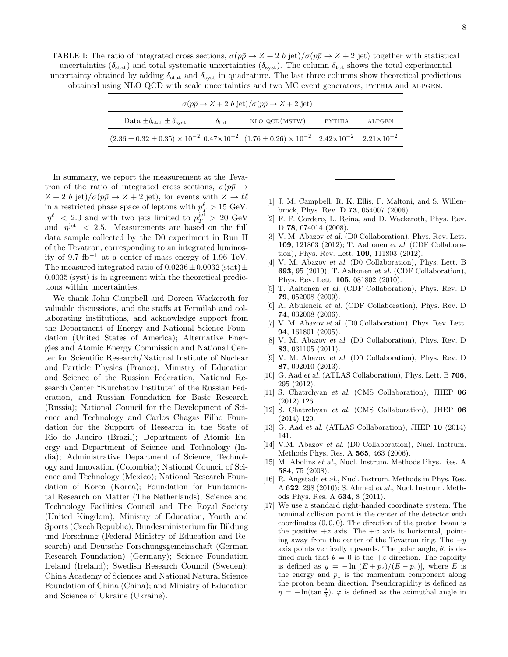TABLE I: The ratio of integrated cross sections,  $\sigma(p\bar{p}\to Z+2 b \text{ jet})/\sigma(p\bar{p}\to Z+2 \text{ jet})$  together with statistical uncertainties ( $\delta_{stat}$ ) and total systematic uncertainties ( $\delta_{syst}$ ). The column  $\delta_{tot}$  shows the total experimental uncertainty obtained by adding  $\delta_{stat}$  and  $\delta_{syst}$  in quadrature. The last three columns show theoretical predictions obtained using NLO QCD with scale uncertainties and two MC event generators, pythia and alpgen.

| $\sigma(p\bar{p}\rightarrow Z+2 b \text{ jet})/\sigma(p\bar{p}\rightarrow Z+2 \text{ jet})$                                                  |                    |               |        |        |
|----------------------------------------------------------------------------------------------------------------------------------------------|--------------------|---------------|--------|--------|
| Data $\pm \delta_{\text{stat}} \pm \delta_{\text{syst}}$                                                                                     | $\delta_{\rm tot}$ | NLO QCD(MSTW) | PYTHIA | ALPGEN |
| $(2.36 \pm 0.32 \pm 0.35) \times 10^{-2}$ $0.47 \times 10^{-2}$ $(1.76 \pm 0.26) \times 10^{-2}$ $2.42 \times 10^{-2}$ $2.21 \times 10^{-2}$ |                    |               |        |        |

In summary, we report the measurement at the Tevatron of the ratio of integrated cross sections,  $\sigma(p\bar{p} \rightarrow$  $Z + 2 b \text{ jet}$  $\pi/\sigma(p\bar{p} \rightarrow Z + 2 \text{ jet})$ , for events with  $Z \rightarrow \ell\ell$ in a restricted phase space of leptons with  $p_T^{\ell} > 15 \text{ GeV}$ ,  $|\eta^{\ell}|$  < 2.0 and with two jets limited to  $p_T^{\text{jet}} > 20 \text{ GeV}$ and  $|\eta^{\text{jet}}| < 2.5$ . Measurements are based on the full data sample collected by the D0 experiment in Run II of the Tevatron, corresponding to an integrated luminosity of 9.7 fb<sup>-1</sup> at a center-of-mass energy of 1.96 TeV. The measured integrated ratio of  $0.0236 \pm 0.0032$  (stat)  $\pm$ 0.0035 (syst) is in agreement with the theoretical predictions within uncertainties.

We thank John Campbell and Doreen Wackeroth for valuable discussions, and the staffs at Fermilab and collaborating institutions, and acknowledge support from the Department of Energy and National Science Foundation (United States of America); Alternative Energies and Atomic Energy Commission and National Center for Scientific Research/National Institute of Nuclear and Particle Physics (France); Ministry of Education and Science of the Russian Federation, National Research Center "Kurchatov Institute" of the Russian Federation, and Russian Foundation for Basic Research (Russia); National Council for the Development of Science and Technology and Carlos Chagas Filho Foundation for the Support of Research in the State of Rio de Janeiro (Brazil); Department of Atomic Energy and Department of Science and Technology (India); Administrative Department of Science, Technology and Innovation (Colombia); National Council of Science and Technology (Mexico); National Research Foundation of Korea (Korea); Foundation for Fundamental Research on Matter (The Netherlands); Science and Technology Facilities Council and The Royal Society (United Kingdom); Ministry of Education, Youth and Sports (Czech Republic); Bundesministerium für Bildung und Forschung (Federal Ministry of Education and Research) and Deutsche Forschungsgemeinschaft (German Research Foundation) (Germany); Science Foundation Ireland (Ireland); Swedish Research Council (Sweden); China Academy of Sciences and National Natural Science Foundation of China (China); and Ministry of Education and Science of Ukraine (Ukraine).

- [1] J. M. Campbell, R. K. Ellis, F. Maltoni, and S. Willenbrock, Phys. Rev. D 73, 054007 (2006).
- [2] F. F. Cordero, L. Reina, and D. Wackeroth, Phys. Rev. D 78, 074014 (2008).
- [3] V. M. Abazov et al. (D0 Collaboration), Phys. Rev. Lett. 109, 121803 (2012); T. Aaltonen et al. (CDF Collaboration), Phys. Rev. Lett. 109, 111803 (2012).
- [4] V. M. Abazov et al. (D0 Collaboration), Phys. Lett. B 693, 95 (2010); T. Aaltonen et al. (CDF Collaboration), Phys. Rev. Lett. 105, 081802 (2010).
- [5] T. Aaltonen et al. (CDF Collaboration), Phys. Rev. D 79, 052008 (2009).
- [6] A. Abulencia et al. (CDF Collaboration), Phys. Rev. D 74, 032008 (2006).
- [7] V. M. Abazov et al. (D0 Collaboration), Phys. Rev. Lett. 94, 161801 (2005).
- [8] V. M. Abazov et al. (D0 Collaboration), Phys. Rev. D 83, 031105 (2011).
- [9] V. M. Abazov et al. (D0 Collaboration), Phys. Rev. D 87, 092010 (2013).
- [10] G. Aad et al. (ATLAS Collaboration), Phys. Lett. B 706, 295 (2012).
- [11] S. Chatrchyan et al. (CMS Collaboration), JHEP 06 (2012) 126.
- [12] S. Chatrchyan et al. (CMS Collaboration), JHEP 06 (2014) 120.
- [13] G. Aad et al. (ATLAS Collaboration), JHEP 10 (2014) 141.
- [14] V.M. Abazov et al. (D0 Collaboration), Nucl. Instrum. Methods Phys. Res. A 565, 463 (2006).
- [15] M. Abolins et al., Nucl. Instrum. Methods Phys. Res. A 584, 75 (2008).
- [16] R. Angstadt et al., Nucl. Instrum. Methods in Phys. Res. A 622, 298 (2010); S. Ahmed et al., Nucl. Instrum. Methods Phys. Res. A 634, 8 (2011).
- [17] We use a standard right-handed coordinate system. The nominal collision point is the center of the detector with coordinates  $(0, 0, 0)$ . The direction of the proton beam is the positive  $+z$  axis. The  $+x$  axis is horizontal, pointing away from the center of the Tevatron ring. The  $+y$ axis points vertically upwards. The polar angle,  $\theta$ , is defined such that  $\theta = 0$  is the  $+z$  direction. The rapidity is defined as  $y = -\ln[(E + p_z)/(E - p_z)]$ , where E is the energy and  $p_z$  is the momentum component along the proton beam direction. Pseudorapidity is defined as  $\eta = -\ln(\tan\frac{\theta}{2})$ .  $\varphi$  is defined as the azimuthal angle in